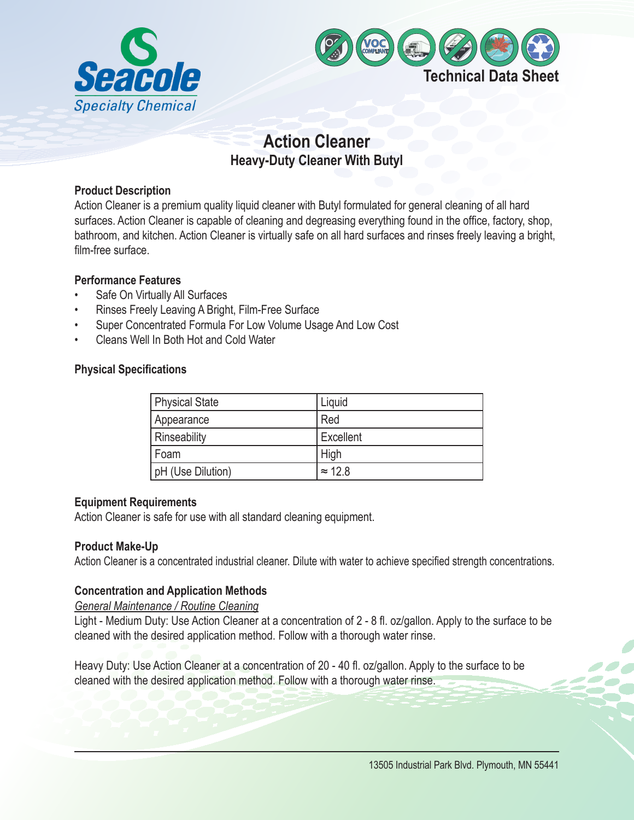



# **Action Cleaner Heavy-Duty Cleaner With Butyl**

## **Product Description**

Action Cleaner is a premium quality liquid cleaner with Butyl formulated for general cleaning of all hard surfaces. Action Cleaner is capable of cleaning and degreasing everything found in the office, factory, shop, bathroom, and kitchen. Action Cleaner is virtually safe on all hard surfaces and rinses freely leaving a bright, film-free surface.

## **Performance Features**

- Safe On Virtually All Surfaces
- Rinses Freely Leaving A Bright, Film-Free Surface
- Super Concentrated Formula For Low Volume Usage And Low Cost
- Cleans Well In Both Hot and Cold Water

## **Physical Specifications**

| <b>Physical State</b> | Liquid         |
|-----------------------|----------------|
| Appearance            | Red            |
| Rinseability          | Excellent      |
| Foam                  | High           |
| pH (Use Dilution)     | $\approx$ 12.8 |

## **Equipment Requirements**

Action Cleaner is safe for use with all standard cleaning equipment.

## **Product Make-Up**

Action Cleaner is a concentrated industrial cleaner. Dilute with water to achieve specified strength concentrations.

## **Concentration and Application Methods**

*General Maintenance / Routine Cleaning*

Light - Medium Duty: Use Action Cleaner at a concentration of 2 - 8 fl. oz/gallon. Apply to the surface to be cleaned with the desired application method. Follow with a thorough water rinse.

Heavy Duty: Use Action Cleaner at a concentration of 20 - 40 fl. oz/gallon. Apply to the surface to be cleaned with the desired application method. Follow with a thorough water rinse.